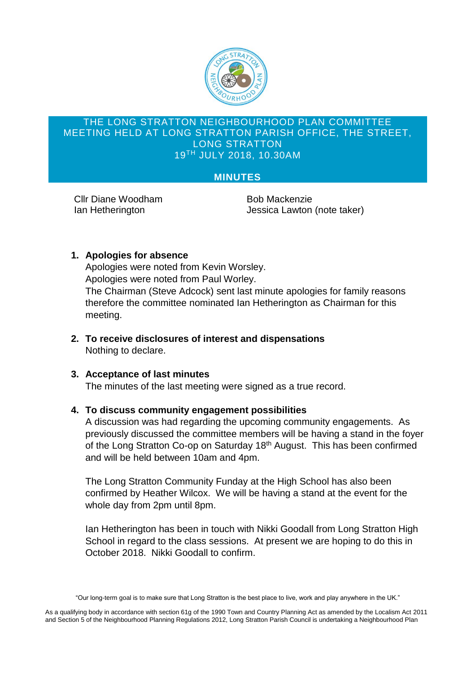

#### THE LONG STRATTON NEIGHBOURHOOD PLAN COMMITTEE MEETING HELD AT LONG STRATTON PARISH OFFICE, THE STREET, LONG STRATTON 19 TH JULY 2018, 10.30AM

# **MINUTES**

Cllr Diane Woodham Bob Mackenzie

Ian Hetherington Jessica Lawton (note taker)

## **1. Apologies for absence**

Apologies were noted from Kevin Worsley. Apologies were noted from Paul Worley. The Chairman (Steve Adcock) sent last minute apologies for family reasons therefore the committee nominated Ian Hetherington as Chairman for this meeting.

**2. To receive disclosures of interest and dispensations** Nothing to declare.

## **3. Acceptance of last minutes**

The minutes of the last meeting were signed as a true record.

## **4. To discuss community engagement possibilities**

A discussion was had regarding the upcoming community engagements. As previously discussed the committee members will be having a stand in the foyer of the Long Stratton Co-op on Saturday 18<sup>th</sup> August. This has been confirmed and will be held between 10am and 4pm.

The Long Stratton Community Funday at the High School has also been confirmed by Heather Wilcox. We will be having a stand at the event for the whole day from 2pm until 8pm.

Ian Hetherington has been in touch with Nikki Goodall from Long Stratton High School in regard to the class sessions. At present we are hoping to do this in October 2018. Nikki Goodall to confirm.

As a qualifying body in accordance with section 61g of the 1990 Town and Country Planning Act as amended by the Localism Act 2011 and Section 5 of the Neighbourhood Planning Regulations 2012, Long Stratton Parish Council is undertaking a Neighbourhood Plan

<sup>&</sup>quot;Our long-term goal is to make sure that Long Stratton is the best place to live, work and play anywhere in the UK."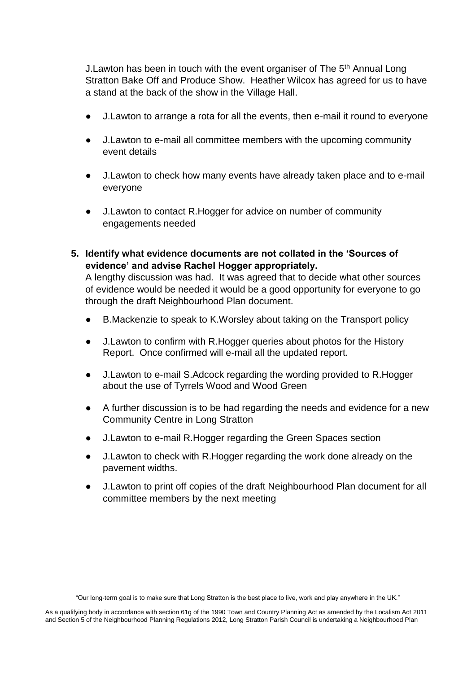J. Lawton has been in touch with the event organiser of The 5<sup>th</sup> Annual Long Stratton Bake Off and Produce Show. Heather Wilcox has agreed for us to have a stand at the back of the show in the Village Hall.

- J. Lawton to arrange a rota for all the events, then e-mail it round to everyone
- J.Lawton to e-mail all committee members with the upcoming community event details
- J. Lawton to check how many events have already taken place and to e-mail everyone
- J. Lawton to contact R. Hogger for advice on number of community engagements needed
- **5. Identify what evidence documents are not collated in the 'Sources of evidence' and advise Rachel Hogger appropriately.**

A lengthy discussion was had. It was agreed that to decide what other sources of evidence would be needed it would be a good opportunity for everyone to go through the draft Neighbourhood Plan document.

- B.Mackenzie to speak to K.Worsley about taking on the Transport policy
- J. Lawton to confirm with R. Hogger queries about photos for the History Report. Once confirmed will e-mail all the updated report.
- J.Lawton to e-mail S.Adcock regarding the wording provided to R.Hogger about the use of Tyrrels Wood and Wood Green
- A further discussion is to be had regarding the needs and evidence for a new Community Centre in Long Stratton
- J.Lawton to e-mail R.Hogger regarding the Green Spaces section
- J. Lawton to check with R. Hogger regarding the work done already on the pavement widths.
- J.Lawton to print off copies of the draft Neighbourhood Plan document for all committee members by the next meeting

"Our long-term goal is to make sure that Long Stratton is the best place to live, work and play anywhere in the UK."

As a qualifying body in accordance with section 61g of the 1990 Town and Country Planning Act as amended by the Localism Act 2011 and Section 5 of the Neighbourhood Planning Regulations 2012, Long Stratton Parish Council is undertaking a Neighbourhood Plan